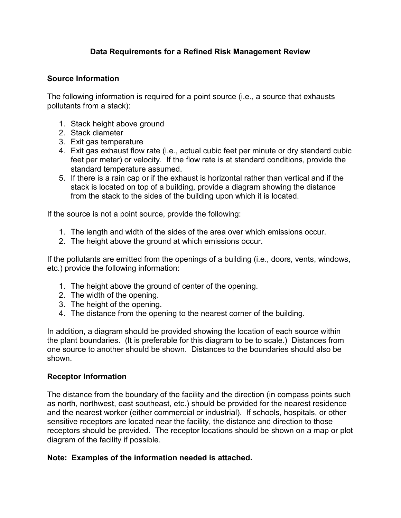## **Data Requirements for a Refined Risk Management Review**

## **Source Information**

The following information is required for a point source (i.e., a source that exhausts pollutants from a stack):

- 1. Stack height above ground
- 2. Stack diameter
- 3. Exit gas temperature
- 4. Exit gas exhaust flow rate (i.e., actual cubic feet per minute or dry standard cubic feet per meter) or velocity. If the flow rate is at standard conditions, provide the standard temperature assumed.
- 5. If there is a rain cap or if the exhaust is horizontal rather than vertical and if the stack is located on top of a building, provide a diagram showing the distance from the stack to the sides of the building upon which it is located.

If the source is not a point source, provide the following:

- 1. The length and width of the sides of the area over which emissions occur.
- 2. The height above the ground at which emissions occur.

If the pollutants are emitted from the openings of a building (i.e., doors, vents, windows, etc.) provide the following information:

- 1. The height above the ground of center of the opening.
- 2. The width of the opening.
- 3. The height of the opening.
- 4. The distance from the opening to the nearest corner of the building.

In addition, a diagram should be provided showing the location of each source within the plant boundaries. (It is preferable for this diagram to be to scale.) Distances from one source to another should be shown. Distances to the boundaries should also be shown.

## **Receptor Information**

The distance from the boundary of the facility and the direction (in compass points such as north, northwest, east southeast, etc.) should be provided for the nearest residence and the nearest worker (either commercial or industrial). If schools, hospitals, or other sensitive receptors are located near the facility, the distance and direction to those receptors should be provided. The receptor locations should be shown on a map or plot diagram of the facility if possible.

## **Note: Examples of the information needed is attached.**